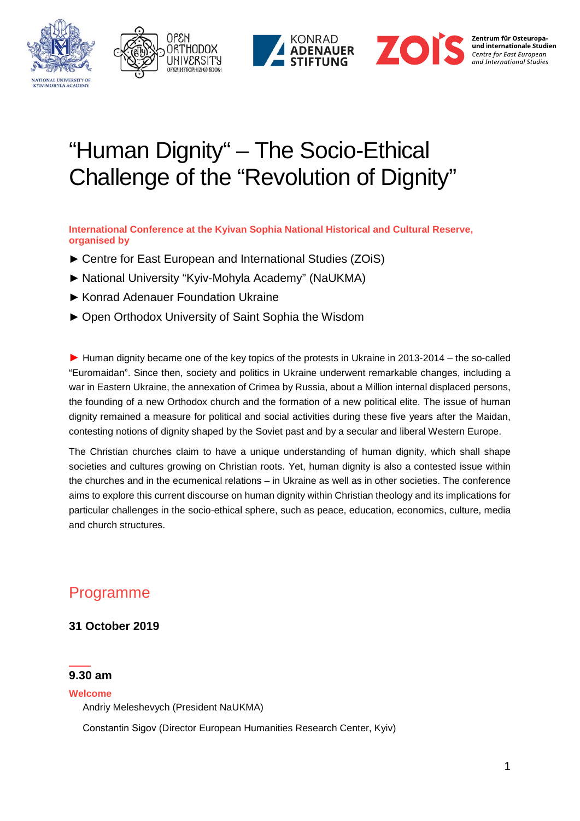







# "Human Dignity" – The Socio-Ethical Challenge of the "Revolution of Dignity"

**International Conference at the Kyivan Sophia National Historical and Cultural Reserve, organised by**

- ► Centre for East European and International Studies (ZOiS)
- ► National University "Kyiv-Mohyla Academy" (NaUKMA)
- ► Konrad Adenauer Foundation Ukraine
- ► Open Orthodox University of Saint Sophia the Wisdom

► Human dignity became one of the key topics of the protests in Ukraine in 2013-2014 – the so-called "Euromaidan". Since then, society and politics in Ukraine underwent remarkable changes, including a war in Eastern Ukraine, the annexation of Crimea by Russia, about a Million internal displaced persons, the founding of a new Orthodox church and the formation of a new political elite. The issue of human dignity remained a measure for political and social activities during these five years after the Maidan, contesting notions of dignity shaped by the Soviet past and by a secular and liberal Western Europe.

The Christian churches claim to have a unique understanding of human dignity, which shall shape societies and cultures growing on Christian roots. Yet, human dignity is also a contested issue within the churches and in the ecumenical relations – in Ukraine as well as in other societies. The conference aims to explore this current discourse on human dignity within Christian theology and its implications for particular challenges in the socio-ethical sphere, such as peace, education, economics, culture, media and church structures.

## Programme

## **31 October 2019**

## **9.30 am**

#### **Welcome**

Andriy Meleshevych (President NaUKMA)

Сonstantin Sigov (Director European Humanities Research Center, Kyiv)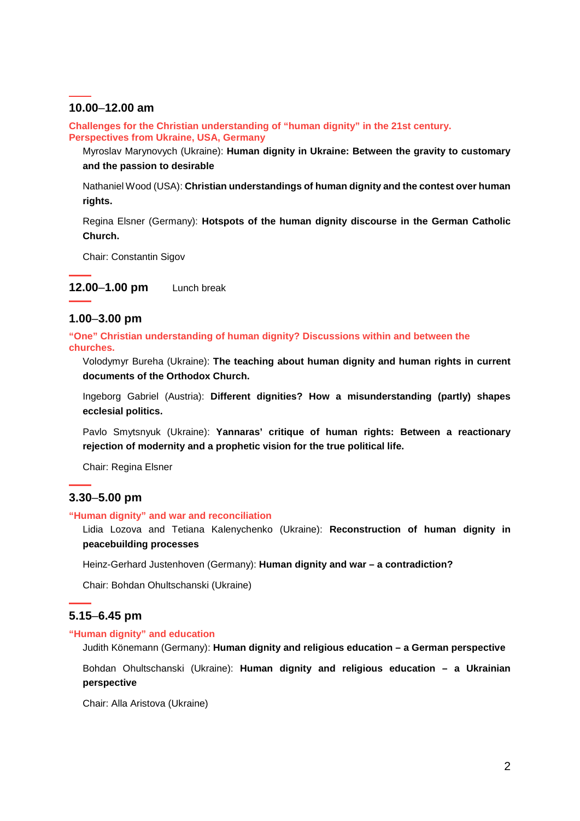## **10.00**–**12.00 am**

**Challenges for the Christian understanding of "human dignity" in the 21st century. Perspectives from Ukraine, USA, Germany**

Myroslav Marynovych (Ukraine): **Human dignity in Ukraine: Between the gravity to customary and the passion to desirable**

Nathaniel Wood (USA): **Christian understandings of human dignity and the contest over human rights.**

Regina Elsner (Germany): **Hotspots of the human dignity discourse in the German Catholic Church.**

Chair: Constantin Sigov

**12.00**–**1.00 pm** Lunch break

## **1.00**–**3.00 pm**

**"One" Christian understanding of human dignity? Discussions within and between the churches.**

Volodymyr Bureha (Ukraine): **The teaching about human dignity and human rights in current documents of the Orthodox Church.**

Ingeborg Gabriel (Austria): **Different dignities? How a misunderstanding (partly) shapes ecclesial politics.**

Pavlo Smytsnyuk (Ukraine): **Yannaras' critique of human rights: Between a reactionary rejection of modernity and a prophetic vision for the true political life.**

Chair: Regina Elsner

## **3.30**–**5.00 pm**

#### **"Human dignity" and war and reconciliation**

Lidia Lozova and Tetiana Kalenychenko (Ukraine): **Reconstruction of human dignity in peacebuilding processes**

Heinz-Gerhard Justenhoven (Germany): **Human dignity and war – a contradiction?**

Chair: Bohdan Ohultschanski (Ukraine)

## **5.15**–**6.45 pm**

#### **"Human dignity" and education**

Judith Könemann (Germany): **Human dignity and religious education – a German perspective**

Bohdan Ohultschanski (Ukraine): **Human dignity and religious education – a Ukrainian perspective**

Chair: Alla Aristova (Ukraine)